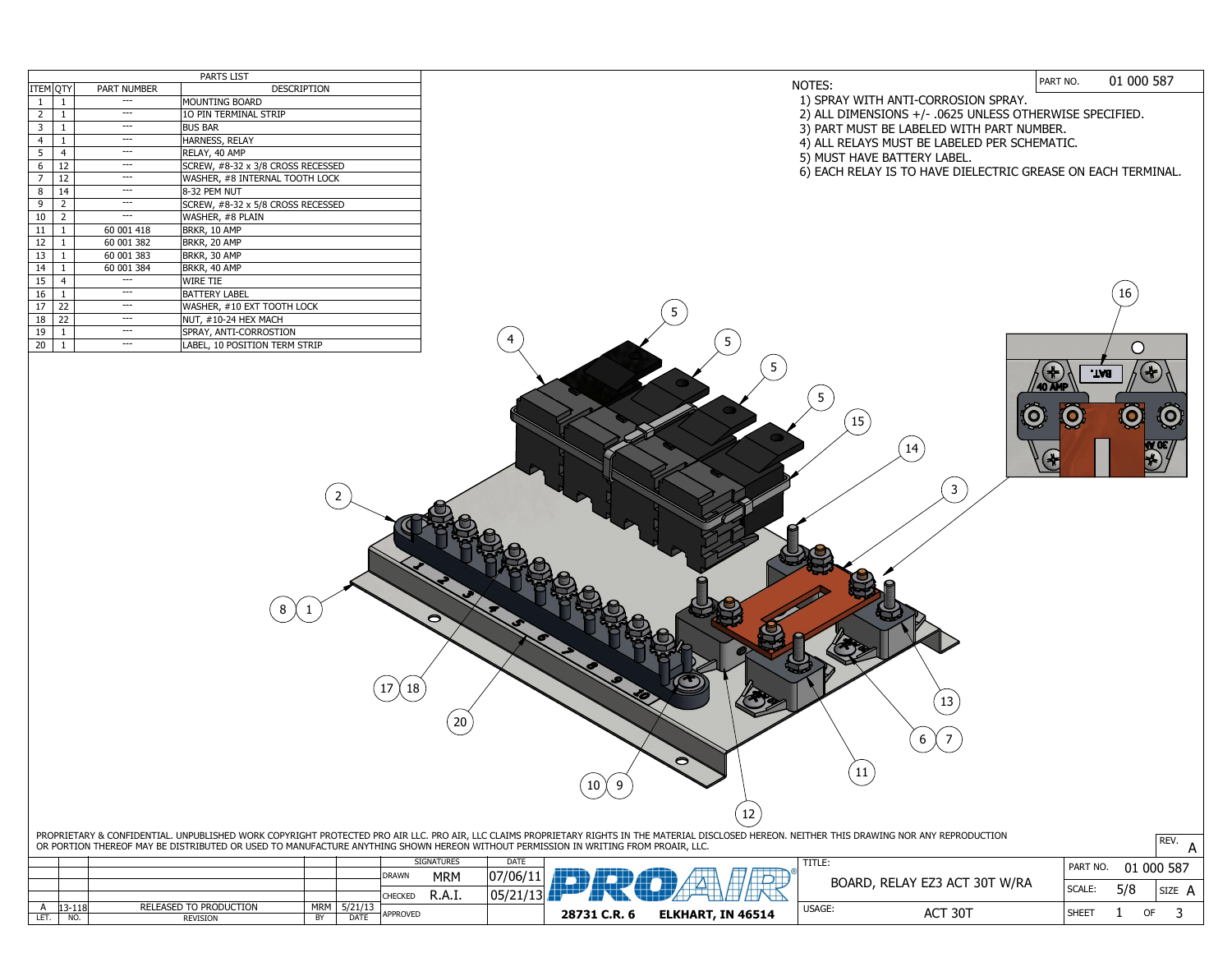| <b>PARTS LIST</b> |                |                    |                                   |  |  |  |  |  |
|-------------------|----------------|--------------------|-----------------------------------|--|--|--|--|--|
| ITEM QTY          |                | <b>PART NUMBER</b> | <b>DESCRIPTION</b>                |  |  |  |  |  |
| $\mathbf{1}$      | 1              |                    | <b>MOUNTING BOARD</b>             |  |  |  |  |  |
| $\overline{2}$    | $\mathbf{1}$   |                    | 10 PIN TERMINAL STRIP             |  |  |  |  |  |
| 3                 | $\mathbf{1}$   |                    | <b>BUS BAR</b>                    |  |  |  |  |  |
| $\overline{4}$    | $\mathbf{1}$   |                    | HARNESS, RELAY                    |  |  |  |  |  |
| 5                 | 4              |                    | RELAY, 40 AMP                     |  |  |  |  |  |
| 6                 | 12             |                    | SCREW, #8-32 x 3/8 CROSS RECESSED |  |  |  |  |  |
| $\overline{7}$    | 12             |                    | WASHER, #8 INTERNAL TOOTH LOCK    |  |  |  |  |  |
| 8                 | 14             |                    | 8-32 PEM NUT                      |  |  |  |  |  |
| 9                 | $\overline{2}$ |                    | SCREW, #8-32 x 5/8 CROSS RECESSED |  |  |  |  |  |
| 10                | $\overline{2}$ | ---                | WASHER, #8 PLAIN                  |  |  |  |  |  |
| 11                | $\mathbf{1}$   | 60 001 418         | BRKR, 10 AMP                      |  |  |  |  |  |
| 12                | 1              | 60 001 382         | BRKR, 20 AMP                      |  |  |  |  |  |
| 13                | $\mathbf{1}$   | 60 001 383         | BRKR, 30 AMP                      |  |  |  |  |  |
| 14                | $\mathbf{1}$   | 60 001 384         | BRKR, 40 AMP                      |  |  |  |  |  |
| 15                | $\overline{4}$ |                    | <b>WIRE TIE</b>                   |  |  |  |  |  |
| 16                | $\mathbf{1}$   |                    | <b>BATTERY LABEL</b>              |  |  |  |  |  |
| 17                | 22             | ---                | WASHER, #10 EXT TOOTH LOCK        |  |  |  |  |  |
| 18                | 22             |                    | NUT, #10-24 HEX MACH              |  |  |  |  |  |
| 19                | 1              |                    | SPRAY, ANTI-CORROSTION            |  |  |  |  |  |
| 20                | $\mathbf{1}$   |                    | LABEL, 10 POSITION TERM STRIP     |  |  |  |  |  |

PROPRIETARY & CONFIDENTIAL. UNPUBLISHED WORK COPYRIGHT PROTECTED PRO AIR LLC. PRO AIR, LLC CLAIMS PROPRIETARY RIGHTS IN THE MATERIAL DISCLOSED HEREON. NEITHER THIS DRAWING NOR ANY REPRODUCTION OR PORTION THEREOF MAY BE DISTRIBUTED OR USED TO MANUFACTURE ANYTHING SHOWN HEREON WITHOUT PERMISSION IN WRITING FROM PROAIR, LLC.  $\mathsf{A}^{\text{NEV}}$   $\mathsf{A}$ 

 $(17)(18)$ 

 $\smile$ 

 $\smile$ 

 $\left( 20\right)$ 

 $\big( 10 \big) \big( 9$ 

 $\bullet$ 

## 01 000 587 PART NO. NOTES: 1) SPRAY WITH ANTI-CORROSION SPRAY. 2) ALL DIMENSIONS +/- .0625 UNLESS OTHERWISE SPECIFIED. 3) PART MUST BE LABELED WITH PART NUMBER. 4) ALL RELAYS MUST BE LABELED PER SCHEMATIC. 5) MUST HAVE BATTERY LABEL. 6) EACH RELAY IS TO HAVE DIELECTRIC GREASE ON EACH TERMINAL.  $\left(16\right)$ 5 5 **BAT.** 5 O  $\ddot{Q}$  $\left(15\right)$

 $\bigcirc$ 

|     |            |                        |            |             | <b>SIGNATURES</b> |            | <b>DATE</b> |                                                   |              |
|-----|------------|------------------------|------------|-------------|-------------------|------------|-------------|---------------------------------------------------|--------------|
|     |            |                        |            |             | DRAWN             | <b>MRM</b> | 07/06/11    | <b>I want the second commitment weeks</b><br>____ |              |
|     |            |                        |            |             |                   |            |             |                                                   |              |
|     |            |                        |            |             | <b>CHECKED</b>    | R.A.I.     | 05/         |                                                   |              |
|     | $13 - 118$ | RELEASED TO PRODUCTION | <b>MRM</b> | 5/21/13     |                   |            |             |                                                   |              |
| LET | NO.        | <b>REVISION</b>        | <b>BY</b>  | <b>DATE</b> | <b>APPROVED</b>   |            |             | 28731 C.R. 6                                      | <b>ELKHA</b> |



5

4

8  $\chi$  1

2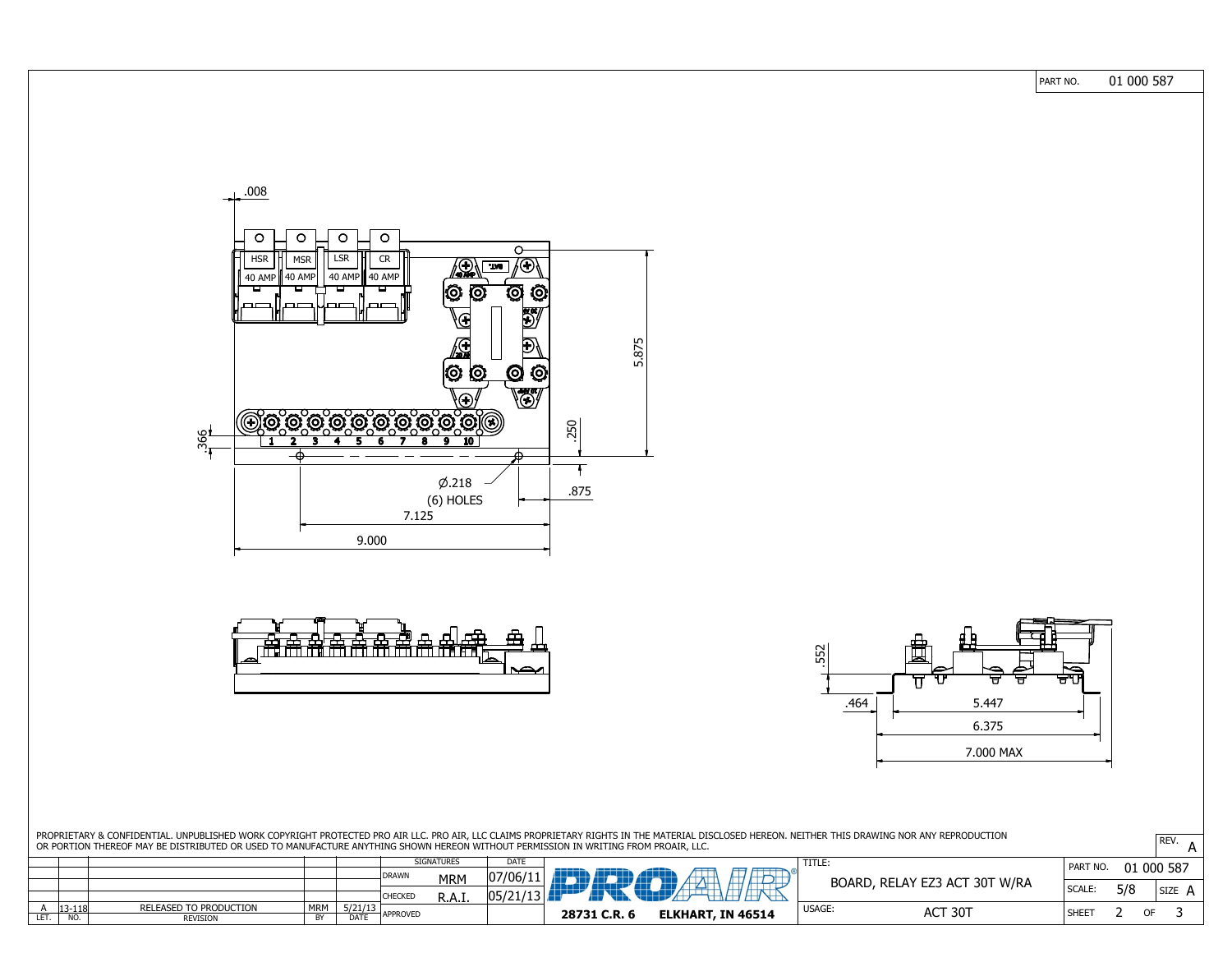|                                                                                                                                                                                                                                                                                                                                        |                                           |                          |                                          | PART NO.       | 01 000 587             |
|----------------------------------------------------------------------------------------------------------------------------------------------------------------------------------------------------------------------------------------------------------------------------------------------------------------------------------------|-------------------------------------------|--------------------------|------------------------------------------|----------------|------------------------|
|                                                                                                                                                                                                                                                                                                                                        |                                           |                          |                                          |                |                        |
|                                                                                                                                                                                                                                                                                                                                        |                                           |                          |                                          |                |                        |
|                                                                                                                                                                                                                                                                                                                                        |                                           |                          |                                          |                |                        |
| .008                                                                                                                                                                                                                                                                                                                                   |                                           |                          |                                          |                |                        |
|                                                                                                                                                                                                                                                                                                                                        |                                           |                          |                                          |                |                        |
| $\bigcirc$<br>$\bigcirc$<br>$\circ$<br>$\circ$                                                                                                                                                                                                                                                                                         |                                           |                          |                                          |                |                        |
| <b>LSR</b><br><b>MSR</b><br><b>HSR</b><br><b>CR</b>                                                                                                                                                                                                                                                                                    | $\overline{O}$<br>$\ket{\mathbf{F}}$ ( F) |                          |                                          |                |                        |
| $\left(\frac{1}{2}\right)$<br>40 AMP    40 AMP<br>  40 AMP    40 AMP<br>$\circ$ $\circ$<br>H<br>┕<br>ш                                                                                                                                                                                                                                 | $\mathbf{\hat{Q}}$                        |                          |                                          |                |                        |
| $\sqrt{m}$<br>لصبصا<br>$\Box$<br>$\Gamma$                                                                                                                                                                                                                                                                                              | $\ddot{\mathbf{Q}}$<br><b>KE</b>          |                          |                                          |                |                        |
| $\bigoplus$                                                                                                                                                                                                                                                                                                                            |                                           |                          |                                          |                |                        |
| 保                                                                                                                                                                                                                                                                                                                                      | E<br>5.875                                |                          |                                          |                |                        |
| $\circ$ $\circ$                                                                                                                                                                                                                                                                                                                        | $\ddot{\mathbb{Q}}$<br>$\odot$            |                          |                                          |                |                        |
| $\bigoplus$<br>Respected a Concerte Concerte Con                                                                                                                                                                                                                                                                                       | $\frac{1}{2}$                             |                          |                                          |                |                        |
| $\frac{1}{260}$                                                                                                                                                                                                                                                                                                                        | .250                                      |                          |                                          |                |                        |
|                                                                                                                                                                                                                                                                                                                                        |                                           |                          |                                          |                |                        |
| $\varphi$ .218                                                                                                                                                                                                                                                                                                                         | .875                                      |                          |                                          |                |                        |
| (6) HOLES<br>7.125                                                                                                                                                                                                                                                                                                                     |                                           |                          |                                          |                |                        |
| 9.000                                                                                                                                                                                                                                                                                                                                  |                                           |                          |                                          |                |                        |
|                                                                                                                                                                                                                                                                                                                                        |                                           |                          |                                          |                |                        |
|                                                                                                                                                                                                                                                                                                                                        |                                           |                          |                                          |                |                        |
|                                                                                                                                                                                                                                                                                                                                        |                                           |                          |                                          |                |                        |
| <u>स्कृत्य स्रोत्स्ट स्रैन्स्ट स्त्रै</u> स्रोतिष्ट्रिये<br>सर्वे स्त्री स्त्रै स्त्रै स्त्रै स्त्रै स्त्रै स्त्रै स्त्रै स्त्रै स्त्रै स्त्रै                                                                                                                                                                                         | 岳<br>m                                    |                          | $\overline{\mathfrak{c}}$ f<br>量<br>m    |                |                        |
|                                                                                                                                                                                                                                                                                                                                        | $\mathbb F$<br>$\sum$                     |                          | 552<br>(∕)<br>$\blacktriangleright$<br>▱ | ⇔              |                        |
|                                                                                                                                                                                                                                                                                                                                        |                                           |                          | ਚ<br>5.447<br>.464                       | ਚਾਰਾ           |                        |
|                                                                                                                                                                                                                                                                                                                                        |                                           |                          | 6.375                                    |                |                        |
|                                                                                                                                                                                                                                                                                                                                        |                                           |                          | 7.000 MAX                                |                |                        |
|                                                                                                                                                                                                                                                                                                                                        |                                           |                          |                                          |                |                        |
|                                                                                                                                                                                                                                                                                                                                        |                                           |                          |                                          |                |                        |
|                                                                                                                                                                                                                                                                                                                                        |                                           |                          |                                          |                |                        |
| PROPRIETARY & CONFIDENTIAL. UNPUBLISHED WORK COPYRIGHT PROTECTED PRO AIR LLC. PRO AIR, LLC CLAIMS PROPRIETARY RIGHTS IN THE MATERIAL DISCLOSED HEREON. NEITHER THIS DRAWING NOR ANY REPRODUCTION<br>OR PORTION THEREOF MAY BE DISTRIBUTED OR USED TO MANUFACTURE ANYTHING SHOWN HEREON WITHOUT PERMISSION IN WRITING FROM PROAIR, LLC. |                                           |                          |                                          |                | $\overline{REV}$ . $A$ |
| <b>SIGNATURES</b><br>DRAWN<br><b>MRM</b>                                                                                                                                                                                                                                                                                               | <b>DATE</b><br> 07/06/11                  |                          | TITLE:                                   | PART NO.       | 01 000 587             |
| <b>CHECKED</b><br>R.A.I.                                                                                                                                                                                                                                                                                                               | 05/21/13                                  |                          | BOARD, RELAY EZ3 ACT 30T W/RA            | $\vert$ SCALE: | 5/8<br>$ $ SIZE $\,$ A |
| <b>MRM</b><br>$\frac{5/21/13}{\text{DATE}}$<br>RELEASED TO PRODUCTION<br>$13 - 118$<br>$\mathsf{A}$<br>APPROVED<br>LET.<br>NO.<br>BY<br><b>REVISION</b>                                                                                                                                                                                | 28731 C.R. 6                              | <b>ELKHART, IN 46514</b> | USAGE:<br>ACT 30T                        | SHEET          | 3<br>2<br>OF           |